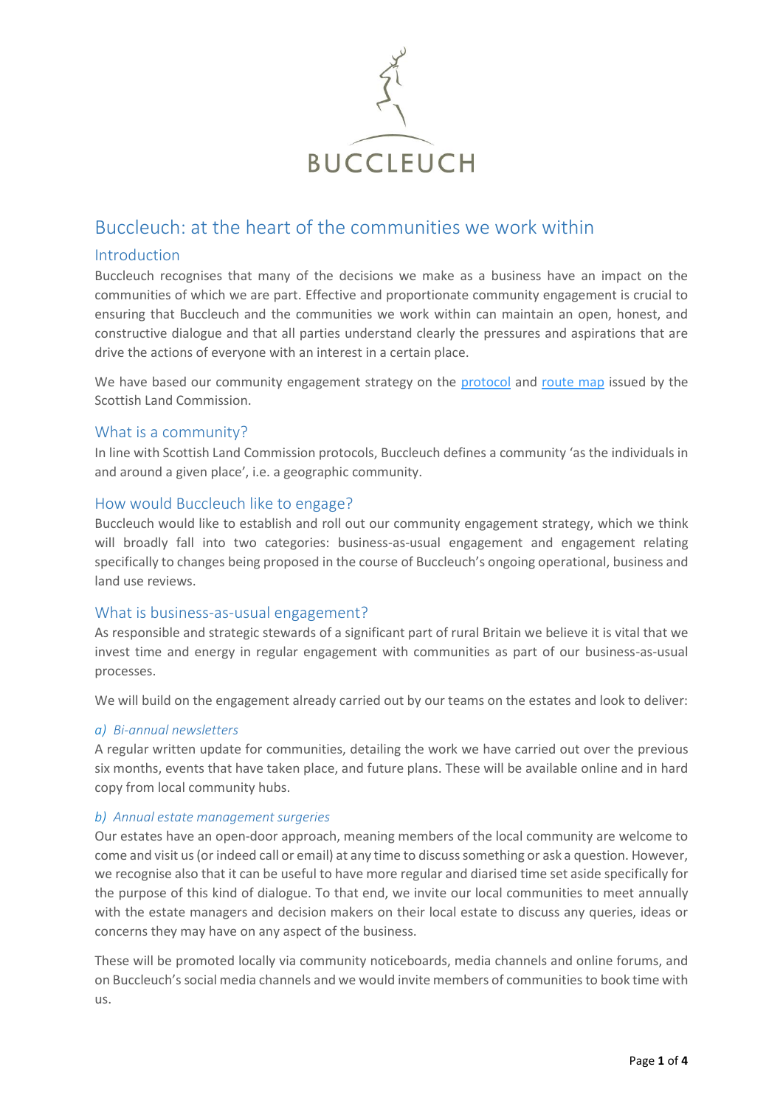

# Buccleuch: at the heart of the communities we work within

# Introduction

Buccleuch recognises that many of the decisions we make as a business have an impact on the communities of which we are part. Effective and proportionate community engagement is crucial to ensuring that Buccleuch and the communities we work within can maintain an open, honest, and constructive dialogue and that all parties understand clearly the pressures and aspirations that are drive the actions of everyone with an interest in a certain place.

We have based our community engagement strategy on the [protocol](https://landcommission.gov.scot/downloads/5dde684465594_GOOD%20PRACTICE%20PROTOCOL_web%2019.11.19.pdf) and [route map](https://landcommission.gov.scot/downloads/5ddfaf5834ff3_GOODPRACTICE-routemap-web.pdf) issued by the Scottish Land Commission.

# What is a community?

In line with Scottish Land Commission protocols, Buccleuch defines a community 'as the individuals in and around a given place', i.e. a geographic community.

# How would Buccleuch like to engage?

Buccleuch would like to establish and roll out our community engagement strategy, which we think will broadly fall into two categories: business-as-usual engagement and engagement relating specifically to changes being proposed in the course of Buccleuch's ongoing operational, business and land use reviews.

# What is business-as-usual engagement?

As responsible and strategic stewards of a significant part of rural Britain we believe it is vital that we invest time and energy in regular engagement with communities as part of our business-as-usual processes.

We will build on the engagement already carried out by our teams on the estates and look to deliver:

# *a) Bi-annual newsletters*

A regular written update for communities, detailing the work we have carried out over the previous six months, events that have taken place, and future plans. These will be available online and in hard copy from local community hubs.

# *b) Annual estate management surgeries*

Our estates have an open-door approach, meaning members of the local community are welcome to come and visit us (or indeed call or email) at any time to discuss something or ask a question. However, we recognise also that it can be useful to have more regular and diarised time set aside specifically for the purpose of this kind of dialogue. To that end, we invite our local communities to meet annually with the estate managers and decision makers on their local estate to discuss any queries, ideas or concerns they may have on any aspect of the business.

These will be promoted locally via community noticeboards, media channels and online forums, and on Buccleuch's social media channels and we would invite members of communities to book time with us.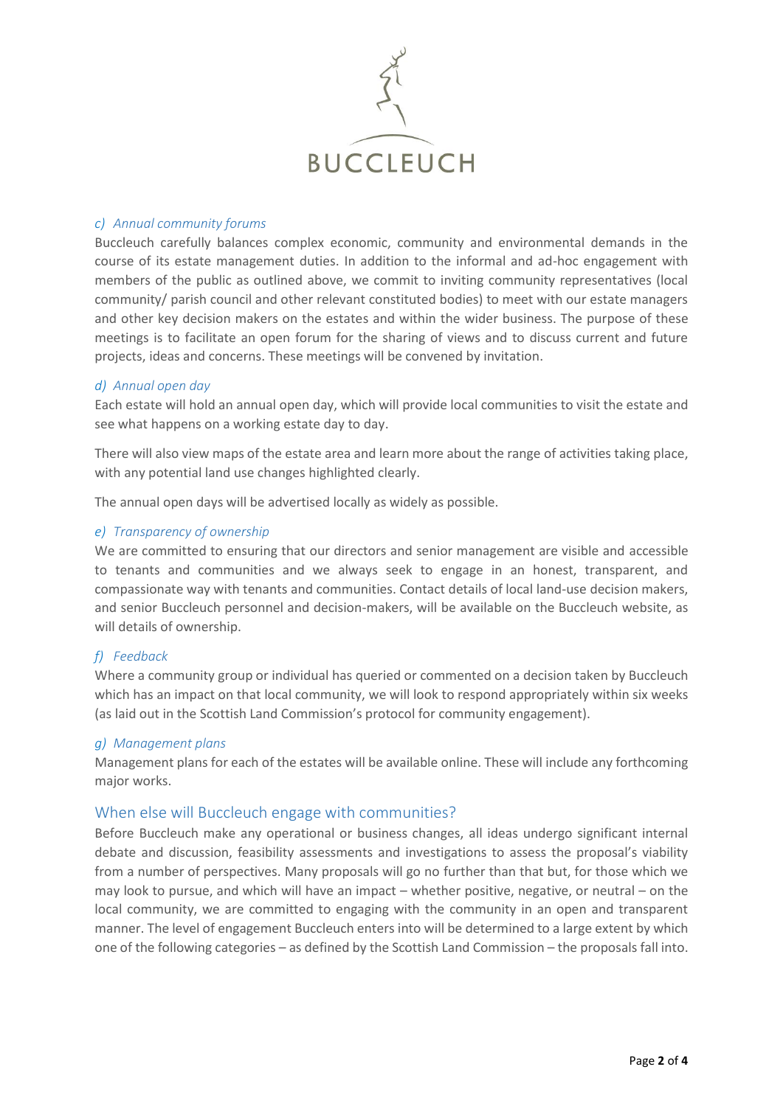

#### *c) Annual community forums*

Buccleuch carefully balances complex economic, community and environmental demands in the course of its estate management duties. In addition to the informal and ad-hoc engagement with members of the public as outlined above, we commit to inviting community representatives (local community/ parish council and other relevant constituted bodies) to meet with our estate managers and other key decision makers on the estates and within the wider business. The purpose of these meetings is to facilitate an open forum for the sharing of views and to discuss current and future projects, ideas and concerns. These meetings will be convened by invitation.

#### *d) Annual open day*

Each estate will hold an annual open day, which will provide local communities to visit the estate and see what happens on a working estate day to day.

There will also view maps of the estate area and learn more about the range of activities taking place, with any potential land use changes highlighted clearly.

The annual open days will be advertised locally as widely as possible.

#### *e) Transparency of ownership*

We are committed to ensuring that our directors and senior management are visible and accessible to tenants and communities and we always seek to engage in an honest, transparent, and compassionate way with tenants and communities. Contact details of local land-use decision makers, and senior Buccleuch personnel and decision-makers, will be available on the Buccleuch website, as will details of ownership.

# *f) Feedback*

Where a community group or individual has queried or commented on a decision taken by Buccleuch which has an impact on that local community, we will look to respond appropriately within six weeks (as laid out in the Scottish Land Commission's protocol for community engagement).

#### *g) Management plans*

Management plans for each of the estates will be available online. These will include any forthcoming major works.

# When else will Buccleuch engage with communities?

Before Buccleuch make any operational or business changes, all ideas undergo significant internal debate and discussion, feasibility assessments and investigations to assess the proposal's viability from a number of perspectives. Many proposals will go no further than that but, for those which we may look to pursue, and which will have an impact – whether positive, negative, or neutral – on the local community, we are committed to engaging with the community in an open and transparent manner. The level of engagement Buccleuch enters into will be determined to a large extent by which one of the following categories – as defined by the Scottish Land Commission – the proposals fall into.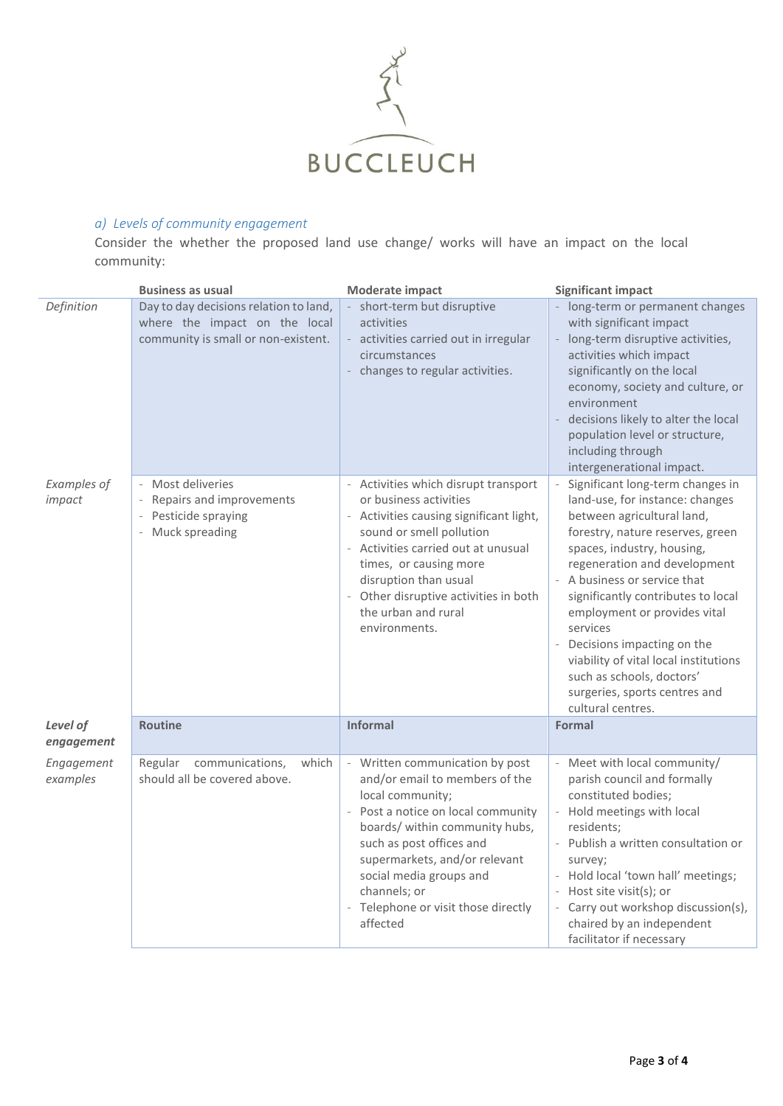

# *a) Levels of community engagement*

Consider the whether the proposed land use change/ works will have an impact on the local community:

|                        | <b>Business as usual</b>                                                                                       | Moderate impact                                                                                                                                                                                                                                                                                                                                | <b>Significant impact</b>                                                                                                                                                                                                                                                                                                                                                                                                                                                                   |
|------------------------|----------------------------------------------------------------------------------------------------------------|------------------------------------------------------------------------------------------------------------------------------------------------------------------------------------------------------------------------------------------------------------------------------------------------------------------------------------------------|---------------------------------------------------------------------------------------------------------------------------------------------------------------------------------------------------------------------------------------------------------------------------------------------------------------------------------------------------------------------------------------------------------------------------------------------------------------------------------------------|
| Definition             | Day to day decisions relation to land,<br>where the impact on the local<br>community is small or non-existent. | - short-term but disruptive<br>activities<br>activities carried out in irregular<br>circumstances<br>changes to regular activities.                                                                                                                                                                                                            | long-term or permanent changes<br>with significant impact<br>- long-term disruptive activities,<br>activities which impact<br>significantly on the local<br>economy, society and culture, or<br>environment<br>decisions likely to alter the local<br>$\overline{\phantom{a}}$<br>population level or structure,<br>including through<br>intergenerational impact.                                                                                                                          |
| Examples of<br>impact  | - Most deliveries<br>Repairs and improvements<br>- Pesticide spraying<br>- Muck spreading                      | - Activities which disrupt transport<br>or business activities<br>- Activities causing significant light,<br>sound or smell pollution<br>Activities carried out at unusual<br>times, or causing more<br>disruption than usual<br>Other disruptive activities in both<br>$\overline{\phantom{a}}$<br>the urban and rural<br>environments.       | $\omega$<br>Significant long-term changes in<br>land-use, for instance: changes<br>between agricultural land,<br>forestry, nature reserves, green<br>spaces, industry, housing,<br>regeneration and development<br>- A business or service that<br>significantly contributes to local<br>employment or provides vital<br>services<br>Decisions impacting on the<br>viability of vital local institutions<br>such as schools, doctors'<br>surgeries, sports centres and<br>cultural centres. |
| Level of<br>engagement | <b>Routine</b>                                                                                                 | <b>Informal</b>                                                                                                                                                                                                                                                                                                                                | Formal                                                                                                                                                                                                                                                                                                                                                                                                                                                                                      |
| Engagement<br>examples | communications,<br>Regular<br>which<br>should all be covered above.                                            | Written communication by post<br>and/or email to members of the<br>local community;<br>Post a notice on local community<br>$\overline{\phantom{a}}$<br>boards/ within community hubs,<br>such as post offices and<br>supermarkets, and/or relevant<br>social media groups and<br>channels; or<br>Telephone or visit those directly<br>affected | Meet with local community/<br>parish council and formally<br>constituted bodies;<br>- Hold meetings with local<br>residents;<br>Publish a written consultation or<br>$\bar{\phantom{a}}$<br>survey;<br>- Hold local 'town hall' meetings;<br>- Host site visit(s); or<br>- Carry out workshop discussion(s),<br>chaired by an independent<br>facilitator if necessary                                                                                                                       |